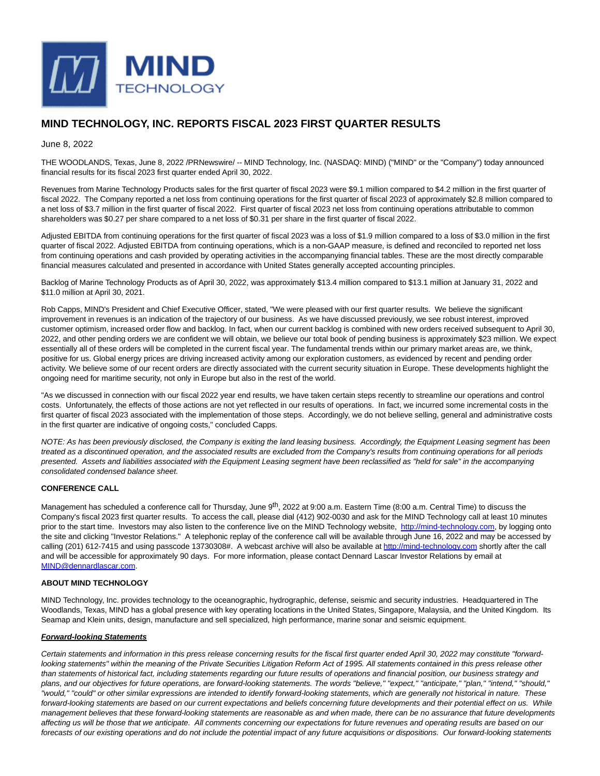

# **MIND TECHNOLOGY, INC. REPORTS FISCAL 2023 FIRST QUARTER RESULTS**

June 8, 2022

THE WOODLANDS, Texas, June 8, 2022 /PRNewswire/ -- MIND Technology, Inc. (NASDAQ: MIND) ("MIND" or the "Company") today announced financial results for its fiscal 2023 first quarter ended April 30, 2022.

Revenues from Marine Technology Products sales for the first quarter of fiscal 2023 were \$9.1 million compared to \$4.2 million in the first quarter of fiscal 2022. The Company reported a net loss from continuing operations for the first quarter of fiscal 2023 of approximately \$2.8 million compared to a net loss of \$3.7 million in the first quarter of fiscal 2022. First quarter of fiscal 2023 net loss from continuing operations attributable to common shareholders was \$0.27 per share compared to a net loss of \$0.31 per share in the first quarter of fiscal 2022.

Adjusted EBITDA from continuing operations for the first quarter of fiscal 2023 was a loss of \$1.9 million compared to a loss of \$3.0 million in the first quarter of fiscal 2022. Adjusted EBITDA from continuing operations, which is a non-GAAP measure, is defined and reconciled to reported net loss from continuing operations and cash provided by operating activities in the accompanying financial tables. These are the most directly comparable financial measures calculated and presented in accordance with United States generally accepted accounting principles.

Backlog of Marine Technology Products as of April 30, 2022, was approximately \$13.4 million compared to \$13.1 million at January 31, 2022 and \$11.0 million at April 30, 2021.

Rob Capps, MIND's President and Chief Executive Officer, stated, "We were pleased with our first quarter results. We believe the significant improvement in revenues is an indication of the trajectory of our business. As we have discussed previously, we see robust interest, improved customer optimism, increased order flow and backlog. In fact, when our current backlog is combined with new orders received subsequent to April 30, 2022, and other pending orders we are confident we will obtain, we believe our total book of pending business is approximately \$23 million. We expect essentially all of these orders will be completed in the current fiscal year. The fundamental trends within our primary market areas are, we think, positive for us. Global energy prices are driving increased activity among our exploration customers, as evidenced by recent and pending order activity. We believe some of our recent orders are directly associated with the current security situation in Europe. These developments highlight the ongoing need for maritime security, not only in Europe but also in the rest of the world.

"As we discussed in connection with our fiscal 2022 year end results, we have taken certain steps recently to streamline our operations and control costs. Unfortunately, the effects of those actions are not yet reflected in our results of operations. In fact, we incurred some incremental costs in the first quarter of fiscal 2023 associated with the implementation of those steps. Accordingly, we do not believe selling, general and administrative costs in the first quarter are indicative of ongoing costs," concluded Capps.

NOTE: As has been previously disclosed, the Company is exiting the land leasing business. Accordingly, the Equipment Leasing segment has been treated as a discontinued operation, and the associated results are excluded from the Company's results from continuing operations for all periods presented. Assets and liabilities associated with the Equipment Leasing segment have been reclassified as "held for sale" in the accompanying consolidated condensed balance sheet.

#### **CONFERENCE CALL**

Management has scheduled a conference call for Thursday, June 9<sup>th</sup>, 2022 at 9:00 a.m. Eastern Time (8:00 a.m. Central Time) to discuss the Company's fiscal 2023 first quarter results. To access the call, please dial (412) 902-0030 and ask for the MIND Technology call at least 10 minutes prior to the start time. Investors may also listen to the conference live on the MIND Technology website, [http://mind-technology.com,](https://c212.net/c/link/?t=0&l=en&o=3561660-1&h=3880994652&u=http%3A%2F%2Fmind-technology.com%2F&a=http%3A%2F%2Fmind-technology.com) by logging onto the site and clicking "Investor Relations." A telephonic replay of the conference call will be available through June 16, 2022 and may be accessed by calling (201) 612-7415 and using passcode 13730308#. A webcast archive will also be available at [http://mind-technology.com s](https://c212.net/c/link/?t=0&l=en&o=3561660-1&h=3880994652&u=http%3A%2F%2Fmind-technology.com%2F&a=http%3A%2F%2Fmind-technology.com)hortly after the call and will be accessible for approximately 90 days. For more information, please contact Dennard Lascar Investor Relations by email at [MIND@dennardlascar.com.](mailto:MIND@dennardlascar.com)

### **ABOUT MIND TECHNOLOGY**

MIND Technology, Inc. provides technology to the oceanographic, hydrographic, defense, seismic and security industries. Headquartered in The Woodlands, Texas, MIND has a global presence with key operating locations in the United States, Singapore, Malaysia, and the United Kingdom. Its Seamap and Klein units, design, manufacture and sell specialized, high performance, marine sonar and seismic equipment.

#### **Forward-looking Statements**

Certain statements and information in this press release concerning results for the fiscal first quarter ended April 30, 2022 may constitute "forwardlooking statements" within the meaning of the Private Securities Litigation Reform Act of 1995. All statements contained in this press release other than statements of historical fact, including statements regarding our future results of operations and financial position, our business strategy and plans, and our objectives for future operations, are forward-looking statements. The words "believe," "expect," "anticipate," "plan," "intend," "should," "would," "could" or other similar expressions are intended to identify forward-looking statements, which are generally not historical in nature. These forward-looking statements are based on our current expectations and beliefs concerning future developments and their potential effect on us. While management believes that these forward-looking statements are reasonable as and when made, there can be no assurance that future developments affecting us will be those that we anticipate. All comments concerning our expectations for future revenues and operating results are based on our forecasts of our existing operations and do not include the potential impact of any future acquisitions or dispositions. Our forward-looking statements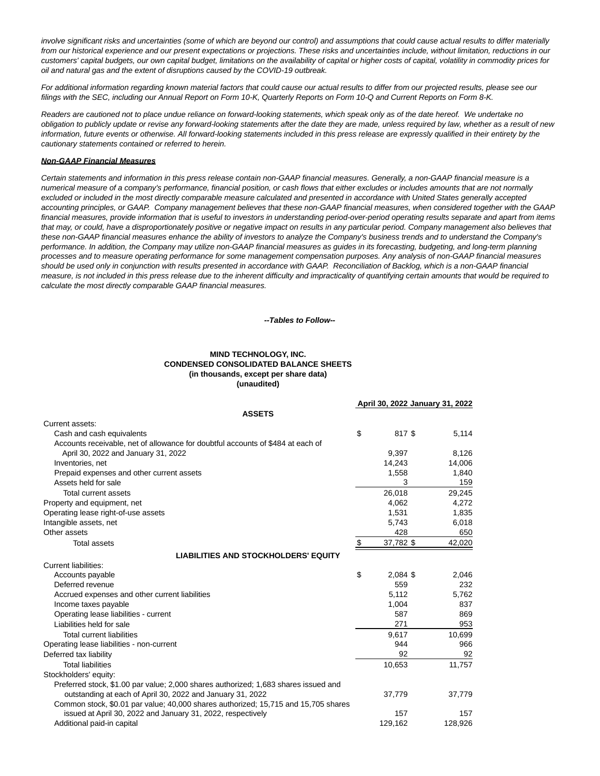involve significant risks and uncertainties (some of which are beyond our control) and assumptions that could cause actual results to differ materially from our historical experience and our present expectations or projections. These risks and uncertainties include, without limitation, reductions in our customers' capital budgets, our own capital budget, limitations on the availability of capital or higher costs of capital, volatility in commodity prices for oil and natural gas and the extent of disruptions caused by the COVID-19 outbreak.

For additional information regarding known material factors that could cause our actual results to differ from our projected results, please see our filings with the SEC, including our Annual Report on Form 10-K, Quarterly Reports on Form 10-Q and Current Reports on Form 8-K.

Readers are cautioned not to place undue reliance on forward-looking statements, which speak only as of the date hereof. We undertake no obligation to publicly update or revise any forward-looking statements after the date they are made, unless required by law, whether as a result of new information, future events or otherwise. All forward-looking statements included in this press release are expressly qualified in their entirety by the cautionary statements contained or referred to herein.

#### **Non-GAAP Financial Measures**

Certain statements and information in this press release contain non-GAAP financial measures. Generally, a non-GAAP financial measure is a numerical measure of a company's performance, financial position, or cash flows that either excludes or includes amounts that are not normally excluded or included in the most directly comparable measure calculated and presented in accordance with United States generally accepted accounting principles, or GAAP. Company management believes that these non-GAAP financial measures, when considered together with the GAAP financial measures, provide information that is useful to investors in understanding period-over-period operating results separate and apart from items that may, or could, have a disproportionately positive or negative impact on results in any particular period. Company management also believes that these non-GAAP financial measures enhance the ability of investors to analyze the Company's business trends and to understand the Company's performance. In addition, the Company may utilize non-GAAP financial measures as guides in its forecasting, budgeting, and long-term planning processes and to measure operating performance for some management compensation purposes. Any analysis of non-GAAP financial measures should be used only in conjunction with results presented in accordance with GAAP. Reconciliation of Backlog, which is a non-GAAP financial measure, is not included in this press release due to the inherent difficulty and impracticality of quantifying certain amounts that would be required to calculate the most directly comparable GAAP financial measures.

#### **--Tables to Follow--**

### **MIND TECHNOLOGY, INC. CONDENSED CONSOLIDATED BALANCE SHEETS (in thousands, except per share data) (unaudited)**

|                                                                                     | April 30, 2022 January 31, 2022 |         |  |
|-------------------------------------------------------------------------------------|---------------------------------|---------|--|
| <b>ASSETS</b>                                                                       |                                 |         |  |
| Current assets:                                                                     |                                 |         |  |
| Cash and cash equivalents                                                           | \$<br>817\$                     | 5,114   |  |
| Accounts receivable, net of allowance for doubtful accounts of \$484 at each of     |                                 |         |  |
| April 30, 2022 and January 31, 2022                                                 | 9,397                           | 8,126   |  |
| Inventories, net                                                                    | 14,243                          | 14,006  |  |
| Prepaid expenses and other current assets                                           | 1,558                           | 1.840   |  |
| Assets held for sale                                                                | 3                               | 159     |  |
| Total current assets                                                                | 26,018                          | 29,245  |  |
| Property and equipment, net                                                         | 4.062                           | 4,272   |  |
| Operating lease right-of-use assets                                                 | 1,531                           | 1,835   |  |
| Intangible assets, net                                                              | 5,743                           | 6,018   |  |
| Other assets                                                                        | 428                             | 650     |  |
| <b>Total assets</b>                                                                 | \$<br>37,782 \$                 | 42,020  |  |
| <b>LIABILITIES AND STOCKHOLDERS' EQUITY</b>                                         |                                 |         |  |
| <b>Current liabilities:</b>                                                         |                                 |         |  |
| Accounts payable                                                                    | \$<br>2,084 \$                  | 2,046   |  |
| Deferred revenue                                                                    | 559                             | 232     |  |
| Accrued expenses and other current liabilities                                      | 5,112                           | 5,762   |  |
| Income taxes payable                                                                | 1,004                           | 837     |  |
| Operating lease liabilities - current                                               | 587                             | 869     |  |
| Liabilities held for sale                                                           | 271                             | 953     |  |
| <b>Total current liabilities</b>                                                    | 9,617                           | 10,699  |  |
| Operating lease liabilities - non-current                                           | 944                             | 966     |  |
| Deferred tax liability                                                              | 92                              | 92      |  |
| <b>Total liabilities</b>                                                            | 10,653                          | 11,757  |  |
| Stockholders' equity:                                                               |                                 |         |  |
| Preferred stock, \$1.00 par value; 2,000 shares authorized; 1,683 shares issued and |                                 |         |  |
| outstanding at each of April 30, 2022 and January 31, 2022                          | 37,779                          | 37,779  |  |
| Common stock, \$0.01 par value; 40,000 shares authorized; 15,715 and 15,705 shares  |                                 |         |  |
| issued at April 30, 2022 and January 31, 2022, respectively                         | 157                             | 157     |  |
| Additional paid-in capital                                                          | 129,162                         | 128,926 |  |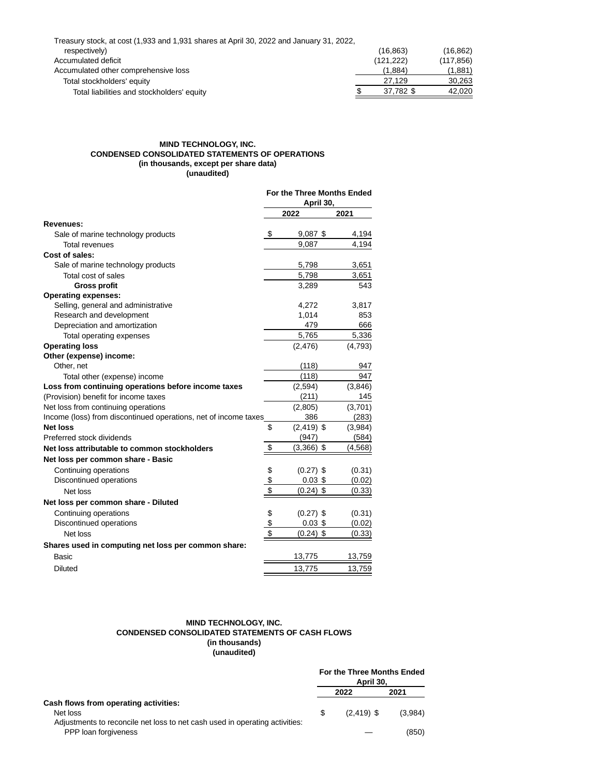| Treasury stock, at cost (1,933 and 1,931 shares at April 30, 2022 and January 31, 2022, |            |            |
|-----------------------------------------------------------------------------------------|------------|------------|
| respectively)                                                                           | (16, 863)  | (16, 862)  |
| Accumulated deficit                                                                     | (121, 222) | (117, 856) |
| Accumulated other comprehensive loss                                                    | (1.884)    | (1,881)    |
| Total stockholders' equity                                                              | 27.129     | 30,263     |
| Total liabilities and stockholders' equity                                              | 37.782 \$  | 42,020     |

## **MIND TECHNOLOGY, INC. CONDENSED CONSOLIDATED STATEMENTS OF OPERATIONS (in thousands, except per share data) (unaudited)**

|                                                                 | For the Three Months Ended<br>April 30, |               |          |
|-----------------------------------------------------------------|-----------------------------------------|---------------|----------|
|                                                                 |                                         | 2022          | 2021     |
| Revenues:                                                       |                                         |               |          |
| Sale of marine technology products                              | \$                                      | $9,087$ \$    | 4,194    |
| Total revenues                                                  |                                         | 9,087         | 4,194    |
| Cost of sales:                                                  |                                         |               |          |
| Sale of marine technology products                              |                                         | 5,798         | 3,651    |
| Total cost of sales                                             |                                         | 5,798         | 3,651    |
| <b>Gross profit</b>                                             |                                         | 3,289         | 543      |
| <b>Operating expenses:</b>                                      |                                         |               |          |
| Selling, general and administrative                             |                                         | 4,272         | 3,817    |
| Research and development                                        |                                         | 1,014         | 853      |
| Depreciation and amortization                                   |                                         | 479           | 666      |
| Total operating expenses                                        |                                         | 5,765         | 5,336    |
| <b>Operating loss</b>                                           |                                         | (2, 476)      | (4,793)  |
| Other (expense) income:                                         |                                         |               |          |
| Other, net                                                      |                                         | (118)         | 947      |
| Total other (expense) income                                    |                                         | (118)         | 947      |
| Loss from continuing operations before income taxes             |                                         | (2, 594)      | (3,846)  |
| (Provision) benefit for income taxes                            |                                         | (211)         | 145      |
| Net loss from continuing operations                             |                                         | (2,805)       | (3,701)  |
| Income (loss) from discontinued operations, net of income taxes |                                         | 386           | (283)    |
| <b>Net loss</b>                                                 | \$                                      | $(2, 419)$ \$ | (3,984)  |
| Preferred stock dividends                                       |                                         | (947)         | (584)    |
| Net loss attributable to common stockholders                    | \$                                      | $(3,366)$ \$  | (4, 568) |
| Net loss per common share - Basic                               |                                         |               |          |
| Continuing operations                                           | \$                                      | $(0.27)$ \$   | (0.31)   |
| Discontinued operations                                         | \$                                      | $0.03$ \$     | (0.02)   |
| Net loss                                                        | \$                                      | $(0.24)$ \$   | (0.33)   |
| Net loss per common share - Diluted                             |                                         |               |          |
| Continuing operations                                           | \$                                      | $(0.27)$ \$   | (0.31)   |
| Discontinued operations                                         | \$                                      | $0.03$ \$     | (0.02)   |
| Net loss                                                        | \$                                      | $(0.24)$ \$   | (0.33)   |
| Shares used in computing net loss per common share:             |                                         |               |          |
| Basic                                                           |                                         | 13,775        | 13,759   |
| <b>Diluted</b>                                                  |                                         | 13,775        | 13,759   |

#### **MIND TECHNOLOGY, INC. CONDENSED CONSOLIDATED STATEMENTS OF CASH FLOWS (in thousands) (unaudited)**

|                                                                                                                                  |   | For the Three Months Ended<br>April 30. |         |
|----------------------------------------------------------------------------------------------------------------------------------|---|-----------------------------------------|---------|
|                                                                                                                                  |   | 2022                                    | 2021    |
| Cash flows from operating activities:<br>Net loss<br>Adjustments to reconcile net loss to net cash used in operating activities: | S | $(2, 419)$ \$                           | (3,984) |
| PPP loan forgiveness                                                                                                             |   |                                         | (850)   |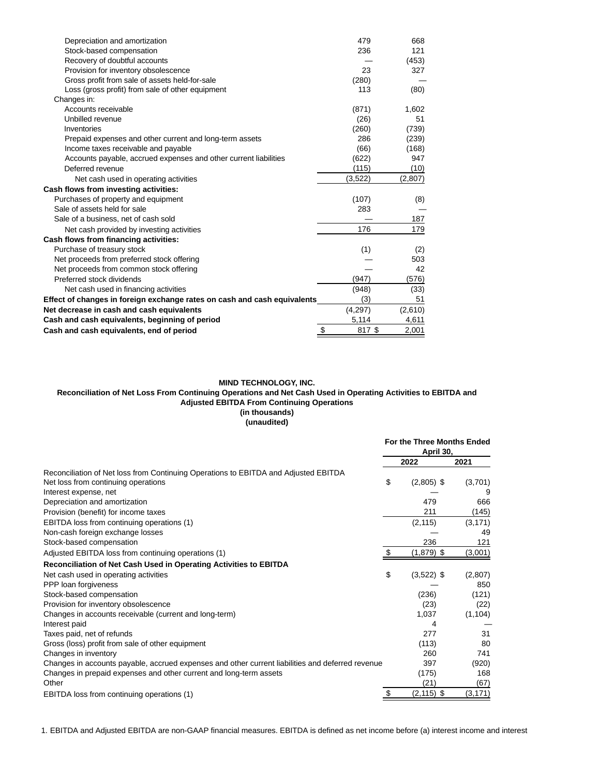| Depreciation and amortization                                            | 479          | 668     |
|--------------------------------------------------------------------------|--------------|---------|
| Stock-based compensation                                                 | 236          | 121     |
| Recovery of doubtful accounts                                            |              | (453)   |
| Provision for inventory obsolescence                                     | 23           | 327     |
| Gross profit from sale of assets held-for-sale                           | (280)        |         |
| Loss (gross profit) from sale of other equipment                         | 113          | (80)    |
| Changes in:                                                              |              |         |
| Accounts receivable                                                      | (871)        | 1,602   |
| Unbilled revenue                                                         | (26)         | 51      |
| Inventories                                                              | (260)        | (739)   |
| Prepaid expenses and other current and long-term assets                  | 286          | (239)   |
| Income taxes receivable and payable                                      | (66)         | (168)   |
| Accounts payable, accrued expenses and other current liabilities         | (622)        | 947     |
| Deferred revenue                                                         | (115)        | (10)    |
| Net cash used in operating activities                                    | (3,522)      | (2,807) |
| Cash flows from investing activities:                                    |              |         |
| Purchases of property and equipment                                      | (107)        | (8)     |
| Sale of assets held for sale                                             | 283          |         |
| Sale of a business, net of cash sold                                     |              | 187     |
| Net cash provided by investing activities                                | 176          | 179     |
| Cash flows from financing activities:                                    |              |         |
| Purchase of treasury stock                                               | (1)          | (2)     |
| Net proceeds from preferred stock offering                               |              | 503     |
| Net proceeds from common stock offering                                  |              | 42      |
| Preferred stock dividends                                                | (947)        | (576)   |
| Net cash used in financing activities                                    | (948)        | (33)    |
| Effect of changes in foreign exchange rates on cash and cash equivalents | (3)          | 51      |
| Net decrease in cash and cash equivalents                                | (4,297)      | (2,610) |
| Cash and cash equivalents, beginning of period                           | 5,114        | 4,611   |
| Cash and cash equivalents, end of period                                 | \$<br>817 \$ | 2,001   |

# **MIND TECHNOLOGY, INC.**

## **Reconciliation of Net Loss From Continuing Operations and Net Cash Used in Operating Activities to EBITDA and Adjusted EBITDA From Continuing Operations (in thousands)**

# **(unaudited)**

|                                                                                                  | For the Three Months Ended<br>April 30, |               |          |
|--------------------------------------------------------------------------------------------------|-----------------------------------------|---------------|----------|
|                                                                                                  |                                         | 2022          | 2021     |
| Reconciliation of Net loss from Continuing Operations to EBITDA and Adjusted EBITDA              |                                         |               |          |
| Net loss from continuing operations                                                              | \$                                      | $(2,805)$ \$  | (3,701)  |
| Interest expense, net                                                                            |                                         |               |          |
| Depreciation and amortization                                                                    |                                         | 479           | 666      |
| Provision (benefit) for income taxes                                                             |                                         | 211           | (145)    |
| EBITDA loss from continuing operations (1)                                                       |                                         | (2, 115)      | (3, 171) |
| Non-cash foreign exchange losses                                                                 |                                         |               | 49       |
| Stock-based compensation                                                                         |                                         | 236           | 121      |
| Adjusted EBITDA loss from continuing operations (1)                                              | \$                                      | $(1,879)$ \$  | (3,001)  |
| Reconciliation of Net Cash Used in Operating Activities to EBITDA                                |                                         |               |          |
| Net cash used in operating activities                                                            | \$                                      | $(3,522)$ \$  | (2,807)  |
| PPP loan forgiveness                                                                             |                                         |               | 850      |
| Stock-based compensation                                                                         |                                         | (236)         | (121)    |
| Provision for inventory obsolescence                                                             |                                         | (23)          | (22)     |
| Changes in accounts receivable (current and long-term)                                           |                                         | 1,037         | (1, 104) |
| Interest paid                                                                                    |                                         | 4             |          |
| Taxes paid, net of refunds                                                                       |                                         | 277           | 31       |
| Gross (loss) profit from sale of other equipment                                                 |                                         | (113)         | 80       |
| Changes in inventory                                                                             |                                         | 260           | 741      |
| Changes in accounts payable, accrued expenses and other current liabilities and deferred revenue |                                         | 397           | (920)    |
| Changes in prepaid expenses and other current and long-term assets                               |                                         | (175)         | 168      |
| Other                                                                                            |                                         | (21)          | (67)     |
| EBITDA loss from continuing operations (1)                                                       | \$                                      | $(2, 115)$ \$ | (3, 171) |

1. EBITDA and Adjusted EBITDA are non-GAAP financial measures. EBITDA is defined as net income before (a) interest income and interest